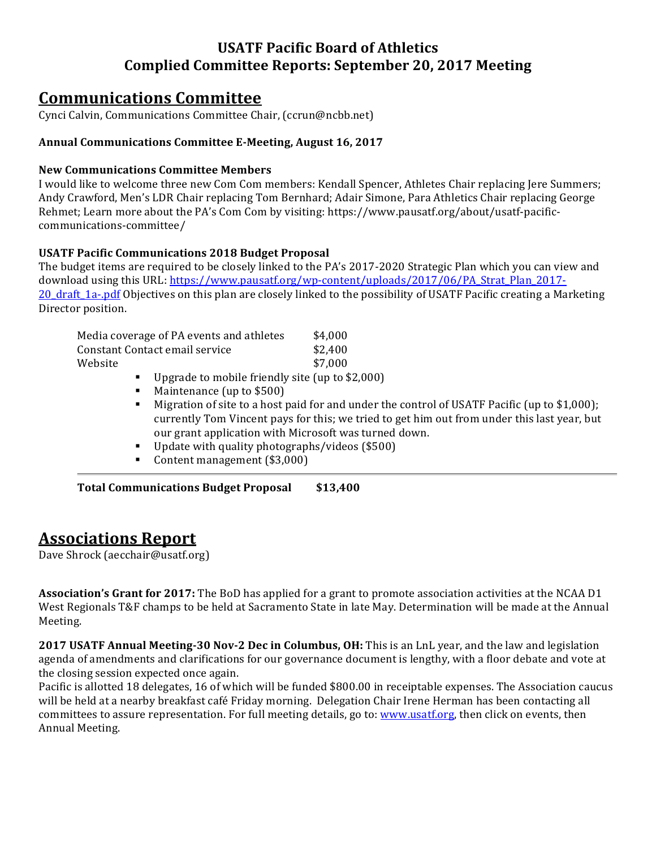### **USATF Pacific Board of Athletics Complied Committee Reports: September 20, 2017 Meeting**

# **Communications Committee**

Cynci Calvin, Communications Committee Chair, (ccrun@ncbb.net)

### Annual Communications Committee E-Meeting, August 16, 2017

#### **New Communications Committee Members**

I would like to welcome three new Com Com members: Kendall Spencer, Athletes Chair replacing Jere Summers; Andy Crawford, Men's LDR Chair replacing Tom Bernhard; Adair Simone, Para Athletics Chair replacing George Rehmet; Learn more about the PA's Com Com by visiting: https://www.pausatf.org/about/usatf-pacificcommunications-committee/

### **USATF Pacific Communications 2018 Budget Proposal**

The budget items are required to be closely linked to the PA's 2017-2020 Strategic Plan which you can view and download using this URL: https://www.pausatf.org/wp-content/uploads/2017/06/PA\_Strat\_Plan\_2017-20 draft 1a-.pdf Objectives on this plan are closely linked to the possibility of USATF Pacific creating a Marketing Director position.

| Media coverage of PA events and athletes |  |  |  |  |  |         | \$4,000 |  |
|------------------------------------------|--|--|--|--|--|---------|---------|--|
| Constant Contact email service           |  |  |  |  |  | \$2,400 |         |  |
| Website                                  |  |  |  |  |  |         | \$7,000 |  |
|                                          |  |  |  |  |  |         |         |  |

- $\blacksquare$  Upgrade to mobile friendly site (up to \$2,000)
- **EXECUTE:** Maintenance (up to \$500)
- " Migration of site to a host paid for and under the control of USATF Pacific (up to  $$1,000$ ); currently Tom Vincent pays for this; we tried to get him out from under this last year, but our grant application with Microsoft was turned down.
- $\blacksquare$  Update with quality photographs/videos (\$500)
- Content management (\$3,000)

**Total Communications Budget Proposal \$13,400**

# **Associations Report**

Dave Shrock (aecchair@usatf.org)

**Association's Grant for 2017:** The BoD has applied for a grant to promote association activities at the NCAA D1 West Regionals T&F champs to be held at Sacramento State in late May. Determination will be made at the Annual Meeting. 

**2017 USATF Annual Meeting-30 Nov-2 Dec in Columbus, OH:** This is an LnL year, and the law and legislation agenda of amendments and clarifications for our governance document is lengthy, with a floor debate and vote at the closing session expected once again.

Pacific is allotted 18 delegates, 16 of which will be funded \$800.00 in receiptable expenses. The Association caucus will be held at a nearby breakfast café Friday morning. Delegation Chair Irene Herman has been contacting all committees to assure representation. For full meeting details, go to: www.usatf.org, then click on events, then Annual Meeting.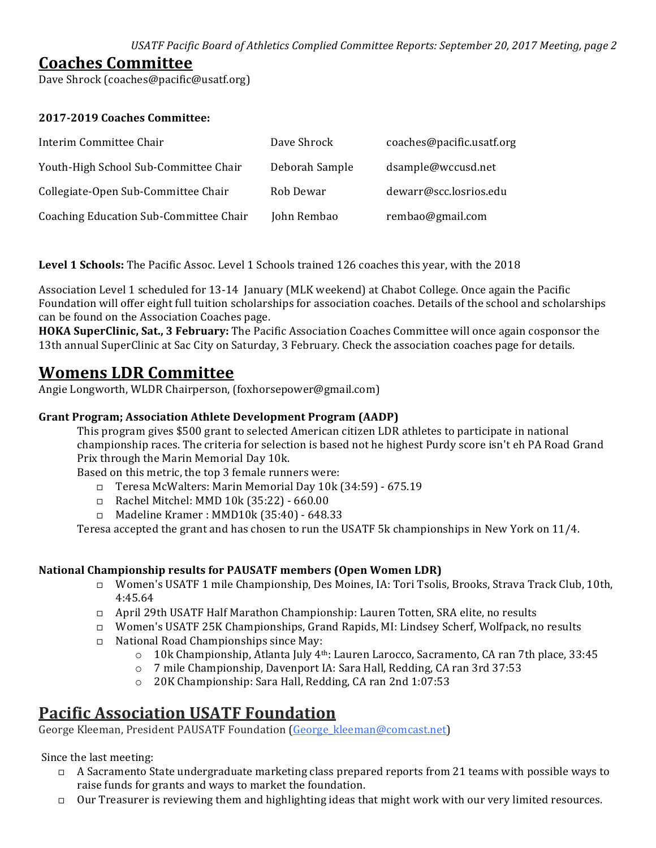USATF Pacific Board of Athletics Complied Committee Reports: September 20, 2017 Meeting, page 2

### **Coaches Committee**

Dave Shrock (coaches@pacific@usatf.org)

### **2017-2019 Coaches Committee:**

| Interim Committee Chair                | Dave Shrock    | coaches@pacific.usatf.org |
|----------------------------------------|----------------|---------------------------|
| Youth-High School Sub-Committee Chair  | Deborah Sample | dsample@wccusd.net        |
| Collegiate-Open Sub-Committee Chair    | Rob Dewar      | dewarr@scc.losrios.edu    |
| Coaching Education Sub-Committee Chair | John Rembao    | rembao@gmail.com          |

**Level 1 Schools:** The Pacific Assoc. Level 1 Schools trained 126 coaches this year, with the 2018

Association Level 1 scheduled for 13-14 January (MLK weekend) at Chabot College. Once again the Pacific Foundation will offer eight full tuition scholarships for association coaches. Details of the school and scholarships can be found on the Association Coaches page.

**HOKA SuperClinic, Sat., 3 February:** The Pacific Association Coaches Committee will once again cosponsor the 13th annual SuperClinic at Sac City on Saturday, 3 February. Check the association coaches page for details.

# **Womens LDR Committee**

Angie Longworth, WLDR Chairperson, (foxhorsepower@gmail.com)

### **Grant Program; Association Athlete Development Program (AADP)**

This program gives \$500 grant to selected American citizen LDR athletes to participate in national championship races. The criteria for selection is based not he highest Purdy score isn't eh PA Road Grand Prix through the Marin Memorial Day 10k.

Based on this metric, the top 3 female runners were:

- □ Teresa McWalters: Marin Memorial Day 10k (34:59) 675.19
- $\Box$  Rachel Mitchel: MMD 10k (35:22) 660.00
- □ Madeline Kramer : MMD10k (35:40) 648.33

Teresa accepted the grant and has chosen to run the USATF 5k championships in New York on  $11/4$ .

### **National Championship results for PAUSATF members (Open Women LDR)**

- □ Women's USATF 1 mile Championship, Des Moines, IA: Tori Tsolis, Brooks, Strava Track Club, 10th, 4:45.64
- □ April 29th USATF Half Marathon Championship: Lauren Totten, SRA elite, no results
- □ Women's USATF 25K Championships, Grand Rapids, MI: Lindsey Scherf, Wolfpack, no results
- $\Box$  National Road Championships since May:
	- $\circ$  10k Championship, Atlanta July 4<sup>th</sup>: Lauren Larocco, Sacramento, CA ran 7th place, 33:45
	- $\circ$  7 mile Championship, Davenport IA: Sara Hall, Redding, CA ran 3rd 37:53
	- o 20K Championship: Sara Hall, Redding, CA ran 2nd 1:07:53

# **Pacific Association USATF Foundation**

George Kleeman, President PAUSATF Foundation (George kleeman@comcast.net)

Since the last meeting:

- $\Box$  A Sacramento State undergraduate marketing class prepared reports from 21 teams with possible ways to raise funds for grants and ways to market the foundation.
- $\Box$  Our Treasurer is reviewing them and highlighting ideas that might work with our very limited resources.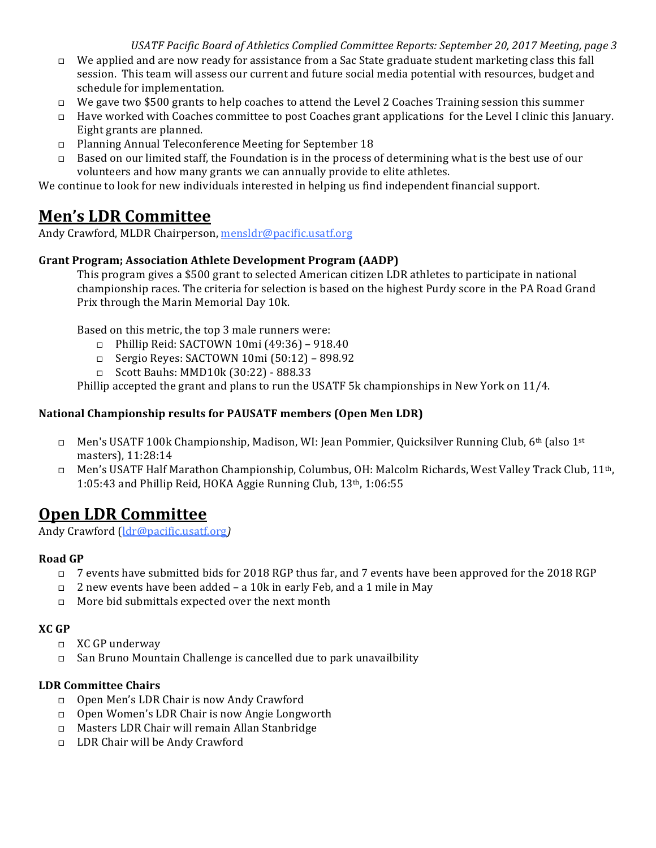USATF Pacific Board of Athletics Complied Committee Reports: September 20, 2017 Meeting, page 3

- $\Box$  We applied and are now ready for assistance from a Sac State graduate student marketing class this fall session. This team will assess our current and future social media potential with resources, budget and schedule for implementation.
- $\Box$  We gave two \$500 grants to help coaches to attend the Level 2 Coaches Training session this summer
- $\Box$  Have worked with Coaches committee to post Coaches grant applications for the Level I clinic this January. Eight grants are planned.
- $\Box$  Planning Annual Teleconference Meeting for September 18
- $\Box$  Based on our limited staff, the Foundation is in the process of determining what is the best use of our volunteers and how many grants we can annually provide to elite athletes.

We continue to look for new individuals interested in helping us find independent financial support.

# **Men's LDR Committee**

Andy Crawford, MLDR Chairperson, mensldr@pacific.usatf.org

### **Grant Program; Association Athlete Development Program (AADP)**

This program gives a \$500 grant to selected American citizen LDR athletes to participate in national championship races. The criteria for selection is based on the highest Purdy score in the PA Road Grand Prix through the Marin Memorial Day 10k.

Based on this metric, the top 3 male runners were:

- $\Box$  Phillip Reid: SACTOWN 10mi (49:36) 918.40
- $\Box$  Sergio Reyes: SACTOWN 10mi (50:12) 898.92
- □ Scott Bauhs: MMD10k (30:22) 888.33

Phillip accepted the grant and plans to run the USATF 5k championships in New York on  $11/4$ .

### **National Championship results for PAUSATF members (Open Men LDR)**

- □ Men's USATF 100k Championship, Madison, WI: Jean Pommier, Quicksilver Running Club, 6<sup>th</sup> (also 1<sup>st</sup>) masters), 11:28:14
- □ Men's USATF Half Marathon Championship, Columbus, OH: Malcolm Richards, West Valley Track Club, 11<sup>th</sup>, 1:05:43 and Phillip Reid, HOKA Aggie Running Club,  $13<sup>th</sup>$ ,  $1:06:55$

# **Open LDR Committee**

Andy Crawford (ldr@pacific.usatf.org*)*

### **Road GP**

- □ 7 events have submitted bids for 2018 RGP thus far, and 7 events have been approved for the 2018 RGP
- $\Box$  2 new events have been added a 10k in early Feb, and a 1 mile in May
- $\Box$  More bid submittals expected over the next month

### **XC GP**

- $\Box$  XC GP underway
- $\Box$  San Bruno Mountain Challenge is cancelled due to park unavailbility

### **LDR Committee Chairs**

- □ Open Men's LDR Chair is now Andy Crawford
- $\Box$  Open Women's LDR Chair is now Angie Longworth
- $\Box$  Masters LDR Chair will remain Allan Stanbridge
- □ LDR Chair will be Andy Crawford